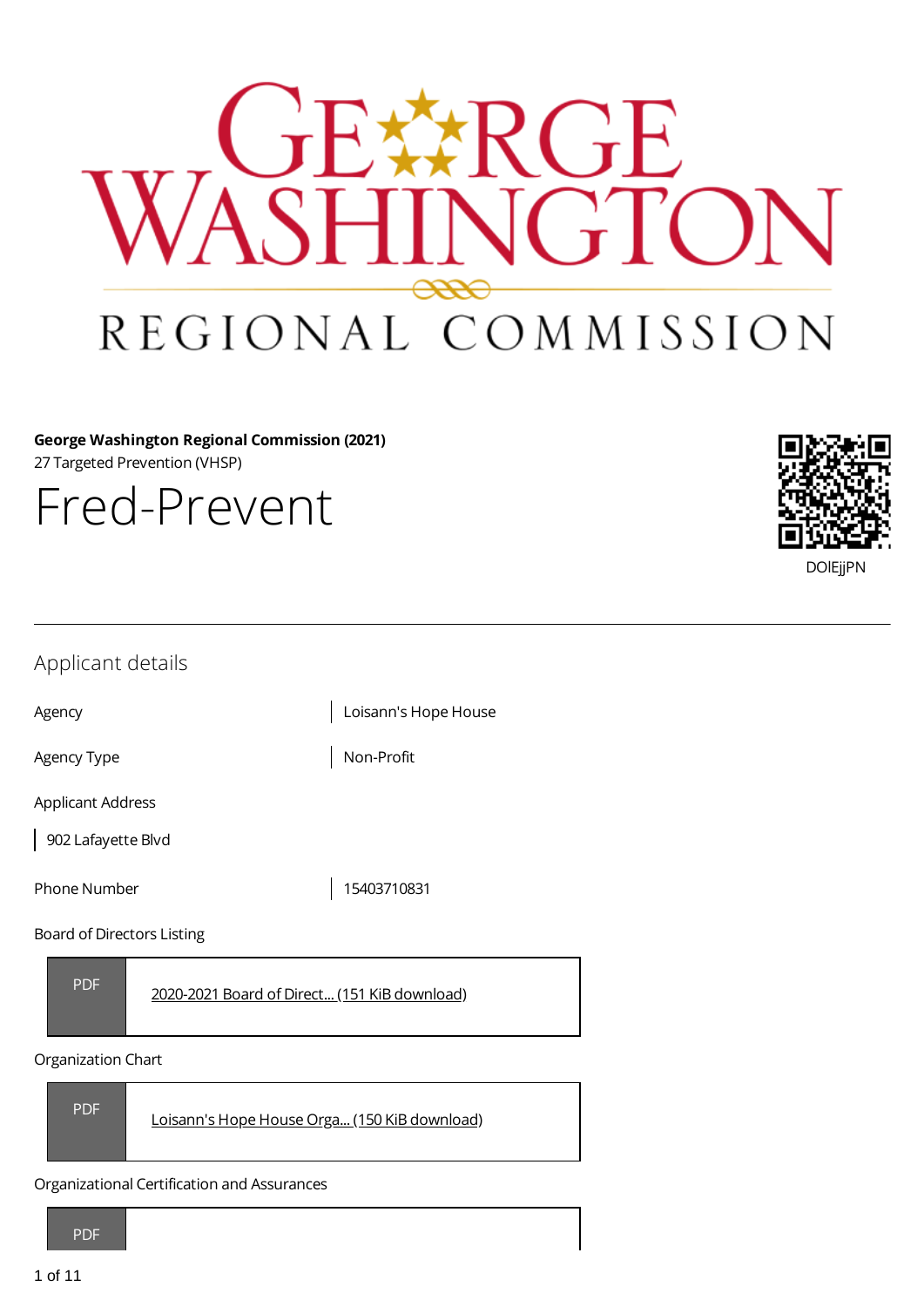

**George Washington Regional Commission (2021)** 27 Targeted Prevention (VHSP)

Fred-Prevent



| Applicant details                                          |                      |  |
|------------------------------------------------------------|----------------------|--|
| Agency                                                     | Loisann's Hope House |  |
| Agency Type                                                | Non-Profit           |  |
| <b>Applicant Address</b>                                   |                      |  |
| 902 Lafayette Blvd                                         |                      |  |
| Phone Number                                               | 15403710831          |  |
| Board of Directors Listing                                 |                      |  |
| <b>PDF</b><br>2020-2021 Board of Direct (151 KiB download) |                      |  |
| Organization Chart                                         |                      |  |



Organizational Certification and Assurances

PDF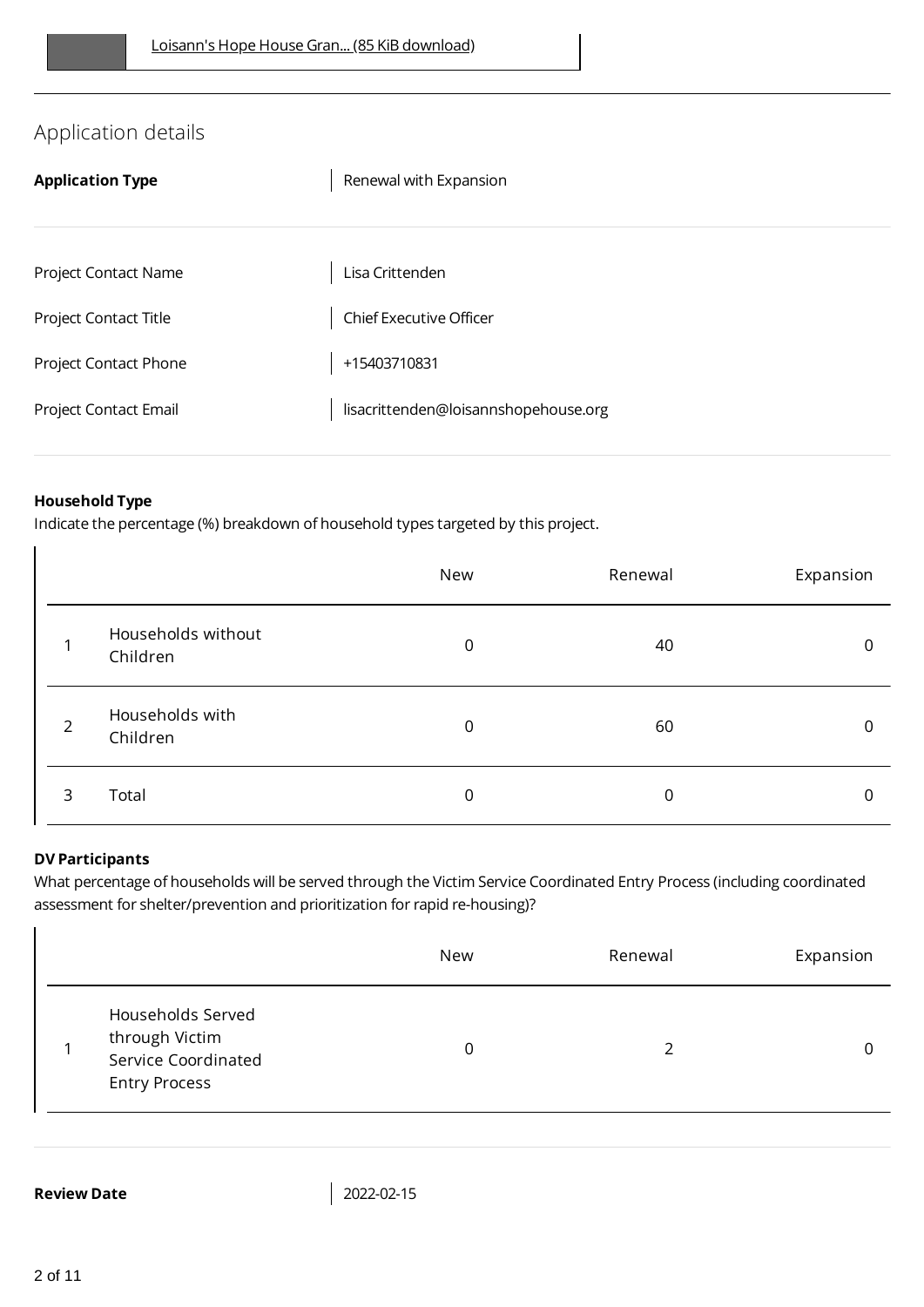# Application details

| <b>Application Type</b> | Renewal with Expansion               |
|-------------------------|--------------------------------------|
|                         |                                      |
| Project Contact Name    | Lisa Crittenden                      |
| Project Contact Title   | <b>Chief Executive Officer</b>       |
| Project Contact Phone   | +15403710831                         |
| Project Contact Email   | lisacrittenden@loisannshopehouse.org |
|                         |                                      |

### **Household Type**

Indicate the percentage (%) breakdown of household types targeted by this project.

|                |                                | New | Renewal | Expansion    |
|----------------|--------------------------------|-----|---------|--------------|
|                | Households without<br>Children | 0   | 40      | $\mathbf{0}$ |
| $\overline{2}$ | Households with<br>Children    | 0   | 60      | $\Omega$     |
| 3              | Total                          | 0   | 0       | 0            |

#### **DV Participants**

What percentage of households will be served through the Victim Service Coordinated Entry Process (including coordinated assessment for shelter/prevention and prioritization for rapid re-housing)?

|                                                                                    | New | Renewal | Expansion |
|------------------------------------------------------------------------------------|-----|---------|-----------|
| Households Served<br>through Victim<br>Service Coordinated<br><b>Entry Process</b> | 0   | ำ       |           |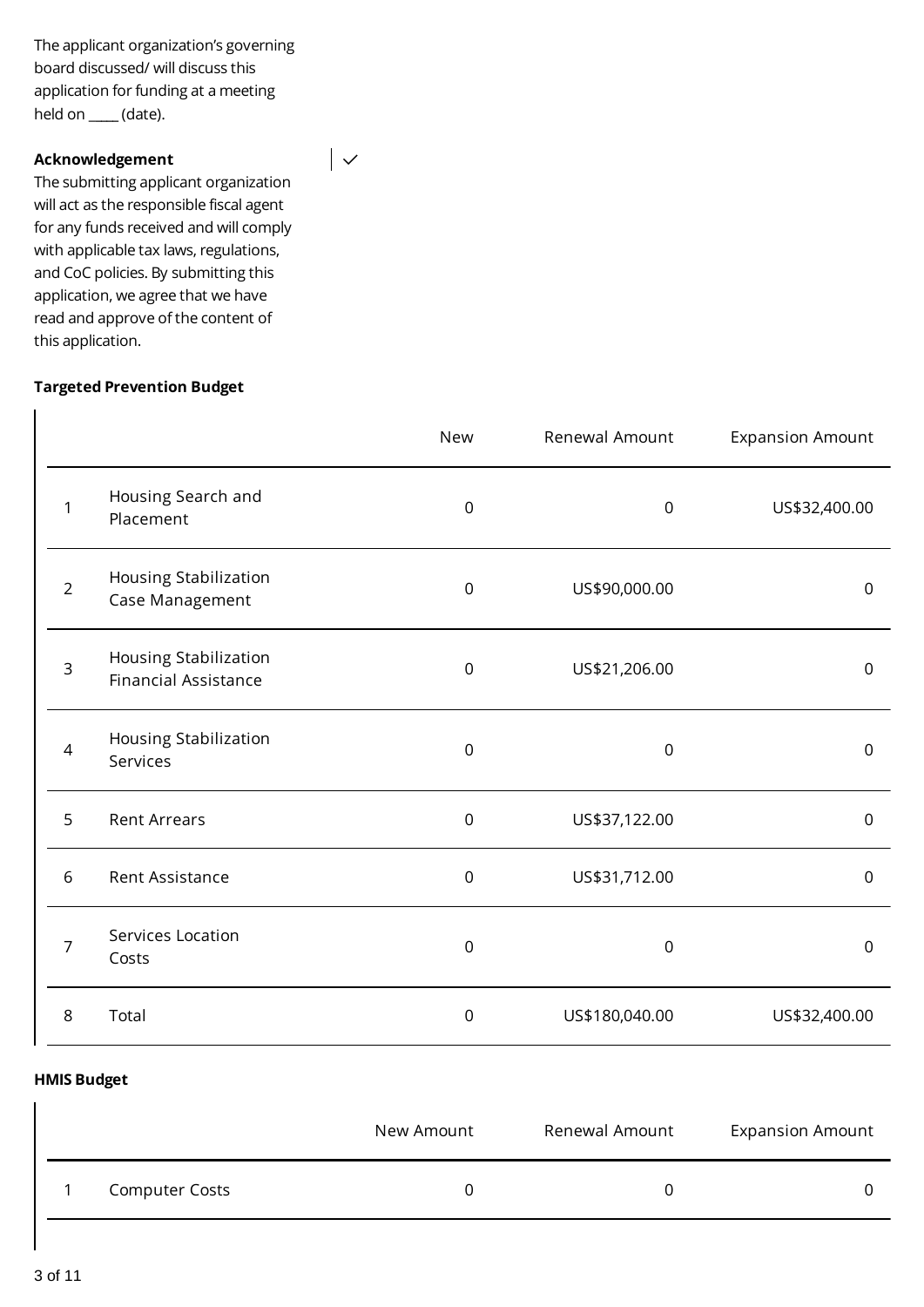The applicant organization's governing board discussed/ will discuss this application for funding at a meeting held on \_**\_\_\_\_** (date).

 $\overline{\phantom{a}}$ 

#### **Acknowledgement**

The submitting applicant organization will act as the responsible fiscal agent for any funds received and will comply with applicable tax laws, regulations, and CoC policies. By submitting this application, we agree that we have read and approve of the content of this application.

#### **Targeted Prevention Budget**

|                |                                                      | <b>New</b>  | Renewal Amount | <b>Expansion Amount</b> |
|----------------|------------------------------------------------------|-------------|----------------|-------------------------|
| $\mathbf 1$    | Housing Search and<br>Placement                      | 0           | $\mathbf 0$    | US\$32,400.00           |
| $\overline{2}$ | Housing Stabilization<br>Case Management             | $\mathbf 0$ | US\$90,000.00  | $\mathbf 0$             |
| $\overline{3}$ | Housing Stabilization<br><b>Financial Assistance</b> | $\mathbf 0$ | US\$21,206.00  | 0                       |
| $\overline{4}$ | Housing Stabilization<br>Services                    | 0           | $\mathsf 0$    | 0                       |
| 5              | <b>Rent Arrears</b>                                  | 0           | US\$37,122.00  | $\mathbf 0$             |
| 6              | Rent Assistance                                      | $\mathbf 0$ | US\$31,712.00  | $\mathbf 0$             |
| 7              | Services Location<br>Costs                           | 0           | $\overline{0}$ | $\mathbf 0$             |
| 8              | Total                                                | 0           | US\$180,040.00 | US\$32,400.00           |

#### **HMIS Budget**

|                       | New Amount | Renewal Amount | <b>Expansion Amount</b> |
|-----------------------|------------|----------------|-------------------------|
| <b>Computer Costs</b> |            |                |                         |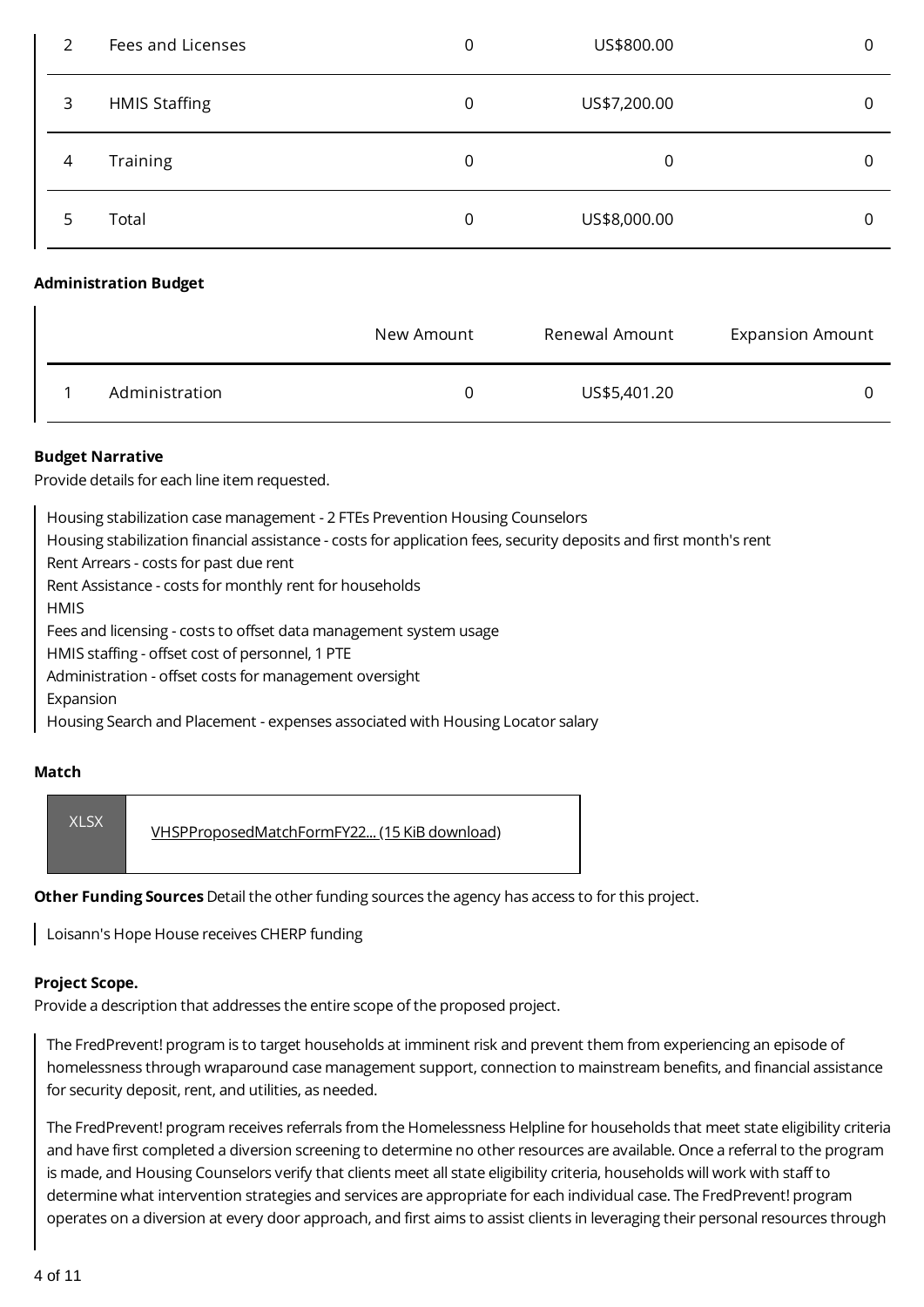| $\mathcal{L}$ | Fees and Licenses            | 0           | US\$800.00   | 0 |
|---------------|------------------------------|-------------|--------------|---|
| 3             | <b>HMIS Staffing</b>         | $\mathbf 0$ | US\$7,200.00 | 0 |
| 4             | Training                     | $\mathbf 0$ | 0            | 0 |
| 5             | Total                        | $\mathbf 0$ | US\$8,000.00 | 0 |
|               | <b>Administration Budget</b> |             |              |   |

|                | New Amount | Renewal Amount | <b>Expansion Amount</b> |
|----------------|------------|----------------|-------------------------|
| Administration |            | US\$5,401.20   |                         |

### **Budget Narrative**

Provide details for each line item requested.

Housing stabilization case management - 2 FTEs Prevention Housing Counselors Housing stabilization financial assistance - costs for application fees, security deposits and first month's rent Rent Arrears - costs for past due rent Rent Assistance - costs for monthly rent for households **HMIS** Fees and licensing - costs to offset data management system usage HMIS staffing - offset cost of personnel, 1 PTE Administration - offset costs for management oversight Expansion Housing Search and Placement - expenses associated with Housing Locator salary

#### **Match**



**Other Funding Sources** Detail the other funding sources the agency has access to for this project.

Loisann's Hope House receives CHERP funding

#### **Project Scope.**

Provide a description that addresses the entire scope of the proposed project.

The FredPrevent! program is to target households at imminent risk and prevent them from experiencing an episode of homelessness through wraparound case management support, connection to mainstream benefits, and financial assistance for security deposit, rent, and utilities, as needed.

The FredPrevent! program receives referrals from the Homelessness Helpline for households that meet state eligibility criteria and have first completed a diversion screening to determine no other resources are available. Once a referral to the program is made, and Housing Counselors verify that clients meet all state eligibility criteria, households will work with staff to determine what intervention strategies and services are appropriate for each individual case. The FredPrevent! program operates on a diversion at every door approach, and first aims to assist clients in leveraging their personal resources through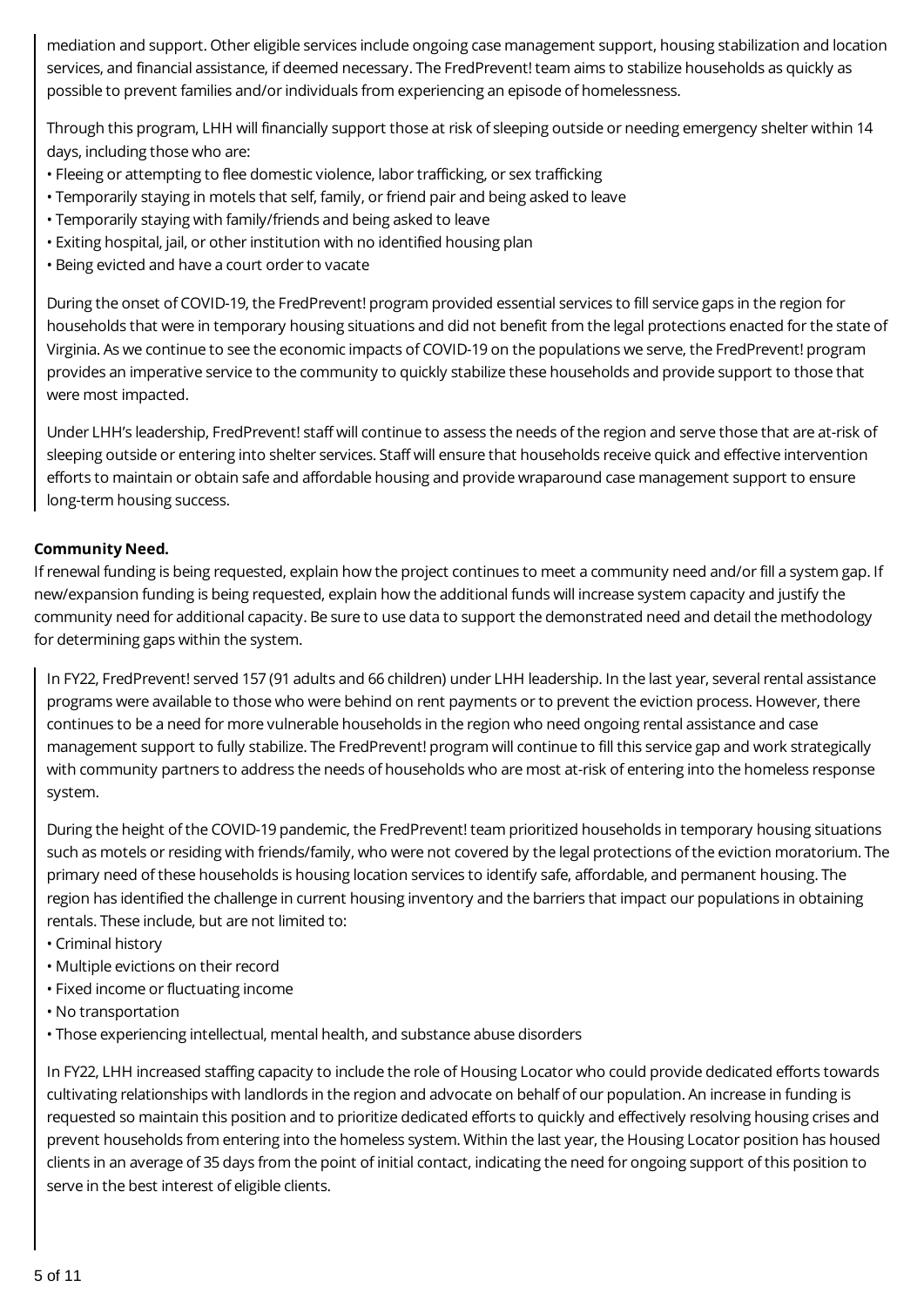mediation and support. Other eligible services include ongoing case management support, housing stabilization and location services, and financial assistance, if deemed necessary. The FredPrevent! team aims to stabilize households as quickly as possible to prevent families and/or individuals from experiencing an episode of homelessness.

Through this program, LHH will financially support those at risk of sleeping outside or needing emergency shelter within 14 days, including those who are:

- Fleeing or attempting to flee domestic violence, labor trafficking, or sex trafficking
- Temporarily staying in motels that self, family, or friend pair and being asked to leave
- Temporarily staying with family/friends and being asked to leave
- Exiting hospital, jail, or other institution with no identified housing plan
- Being evicted and have a court order to vacate

During the onset of COVID-19, the FredPrevent! program provided essential services to fill service gaps in the region for households that were in temporary housing situations and did not benefit from the legal protections enacted for the state of Virginia. As we continue to see the economic impacts of COVID-19 on the populations we serve, the FredPrevent! program provides an imperative service to the community to quickly stabilize these households and provide support to those that were most impacted.

Under LHH's leadership, FredPrevent! staff will continue to assess the needs of the region and serve those that are at-risk of sleeping outside or entering into shelter services. Staff will ensure that households receive quick and effective intervention efforts to maintain or obtain safe and affordable housing and provide wraparound case management support to ensure long-term housing success.

#### **Community Need.**

If renewal funding is being requested, explain how the project continues to meet a community need and/or fill a system gap. If new/expansion funding is being requested, explain how the additional funds will increase system capacity and justify the community need for additional capacity. Be sure to use data to support the demonstrated need and detail the methodology for determining gaps within the system.

In FY22, FredPrevent! served 157 (91 adults and 66 children) under LHH leadership. In the last year, several rental assistance programs were available to those who were behind on rent payments or to prevent the eviction process. However, there continues to be a need for more vulnerable households in the region who need ongoing rental assistance and case management support to fully stabilize. The FredPrevent! program will continue to fill this service gap and work strategically with community partners to address the needs of households who are most at-risk of entering into the homeless response system.

During the height of the COVID-19 pandemic, the FredPrevent! team prioritized households in temporary housing situations such as motels or residing with friends/family, who were not covered by the legal protections of the eviction moratorium. The primary need of these households is housing location services to identify safe, affordable, and permanent housing. The region has identified the challenge in current housing inventory and the barriers that impact our populations in obtaining rentals. These include, but are not limited to:

- Criminal history
- Multiple evictions on their record
- Fixed income or fluctuating income
- No transportation
- Those experiencing intellectual, mental health, and substance abuse disorders

In FY22, LHH increased staffing capacity to include the role of Housing Locator who could provide dedicated efforts towards cultivating relationships with landlords in the region and advocate on behalf of our population. An increase in funding is requested so maintain this position and to prioritize dedicated efforts to quickly and effectively resolving housing crises and prevent households from entering into the homeless system. Within the last year, the Housing Locator position has housed clients in an average of 35 days from the point of initial contact, indicating the need for ongoing support of this position to serve in the best interest of eligible clients.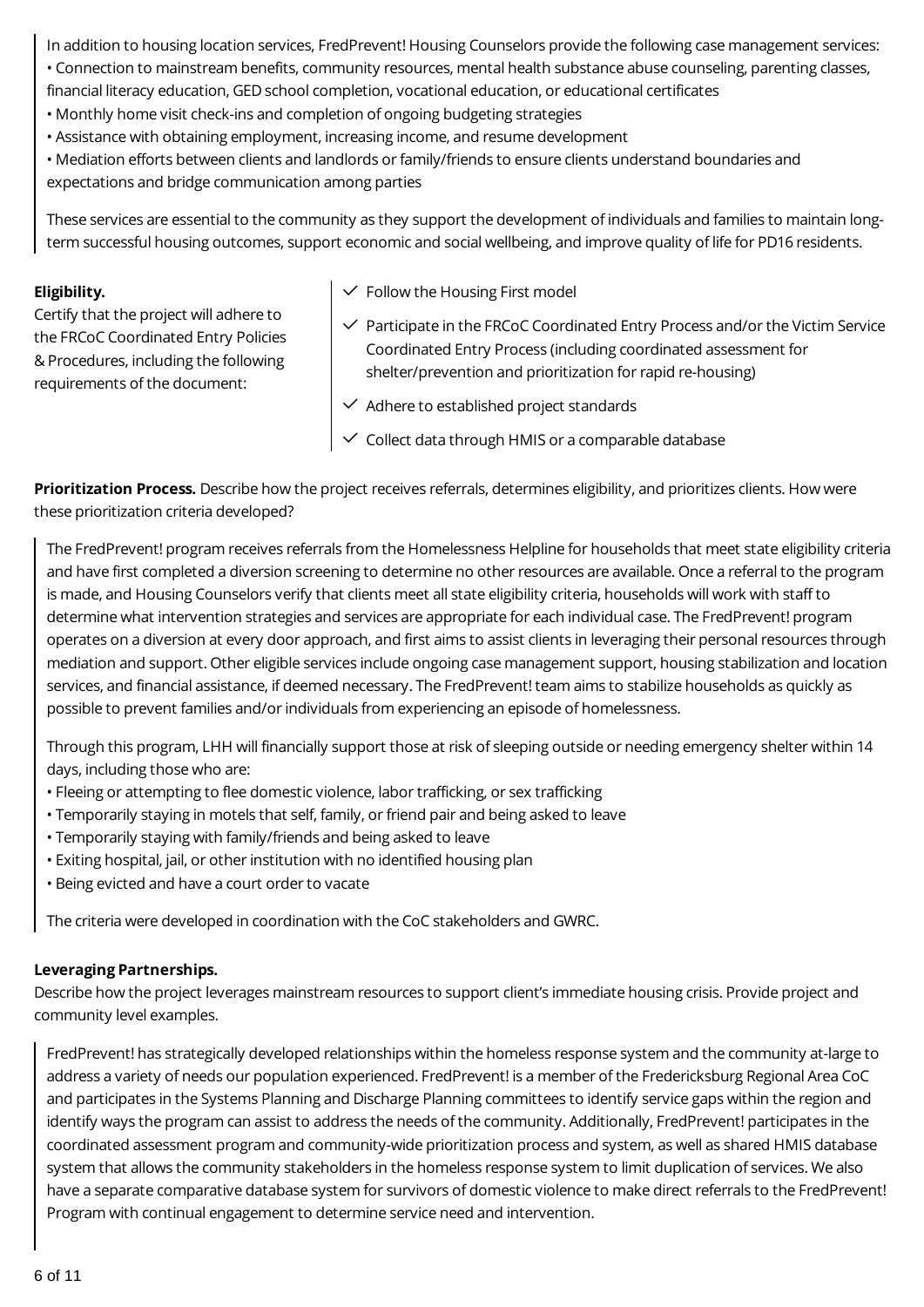In addition to housing location services, FredPrevent! Housing Counselors provide the following case management services:

- Connection to mainstream benefits, community resources, mental health substance abuse counseling, parenting classes, financial literacy education, GED school completion, vocational education, or educational certificates
- Monthly home visit check-ins and completion of ongoing budgeting strategies
- Assistance with obtaining employment, increasing income, and resume development
- Mediation efforts between clients and landlords or family/friends to ensure clients understand boundaries and expectations and bridge communication among parties

These services are essential to the community as they support the development of individuals and families to maintain longterm successful housing outcomes, support economic and social wellbeing, and improve quality of life for PD16 residents.

#### **Eligibility.**

Certify that the project will adhere to the FRCoC Coordinated Entry Policies & Procedures, including the following requirements of the document:

- $\checkmark$  Follow the Housing First model
- $\checkmark$  Participate in the FRCoC Coordinated Entry Process and/or the Victim Service Coordinated Entry Process (including coordinated assessment for shelter/prevention and prioritization for rapid re-housing)
- $\checkmark$  Adhere to established project standards
- $\checkmark$  Collect data through HMIS or a comparable database

**Prioritization Process.** Describe how the project receives referrals, determines eligibility, and prioritizes clients. How were these prioritization criteria developed?

The FredPrevent! program receives referrals from the Homelessness Helpline for households that meet state eligibility criteria and have first completed a diversion screening to determine no other resources are available. Once a referral to the program is made, and Housing Counselors verify that clients meet all state eligibility criteria, households will work with staff to determine what intervention strategies and services are appropriate for each individual case. The FredPrevent! program operates on a diversion at every door approach, and first aims to assist clients in leveraging their personal resources through mediation and support. Other eligible services include ongoing case management support, housing stabilization and location services, and financial assistance, if deemed necessary. The FredPrevent! team aims to stabilize households as quickly as possible to prevent families and/or individuals from experiencing an episode of homelessness.

Through this program, LHH will financially support those at risk of sleeping outside or needing emergency shelter within 14 days, including those who are:

- Fleeing or attempting to flee domestic violence, labor trafficking, or sex trafficking
- Temporarily staying in motels that self, family, or friend pair and being asked to leave
- Temporarily staying with family/friends and being asked to leave
- Exiting hospital, jail, or other institution with no identified housing plan
- Being evicted and have a court order to vacate

The criteria were developed in coordination with the CoC stakeholders and GWRC.

## **Leveraging Partnerships.**

Describe how the project leverages mainstream resources to support client's immediate housing crisis. Provide project and community level examples.

FredPrevent! has strategically developed relationships within the homeless response system and the community at-large to address a variety of needs our population experienced. FredPrevent! is a member of the Fredericksburg Regional Area CoC and participates in the Systems Planning and Discharge Planning committees to identify service gaps within the region and identify ways the program can assist to address the needs of the community. Additionally, FredPrevent! participates in the coordinated assessment program and community-wide prioritization process and system, as well as shared HMIS database system that allows the community stakeholders in the homeless response system to limit duplication of services. We also have a separate comparative database system for survivors of domestic violence to make direct referrals to the FredPrevent! Program with continual engagement to determine service need and intervention.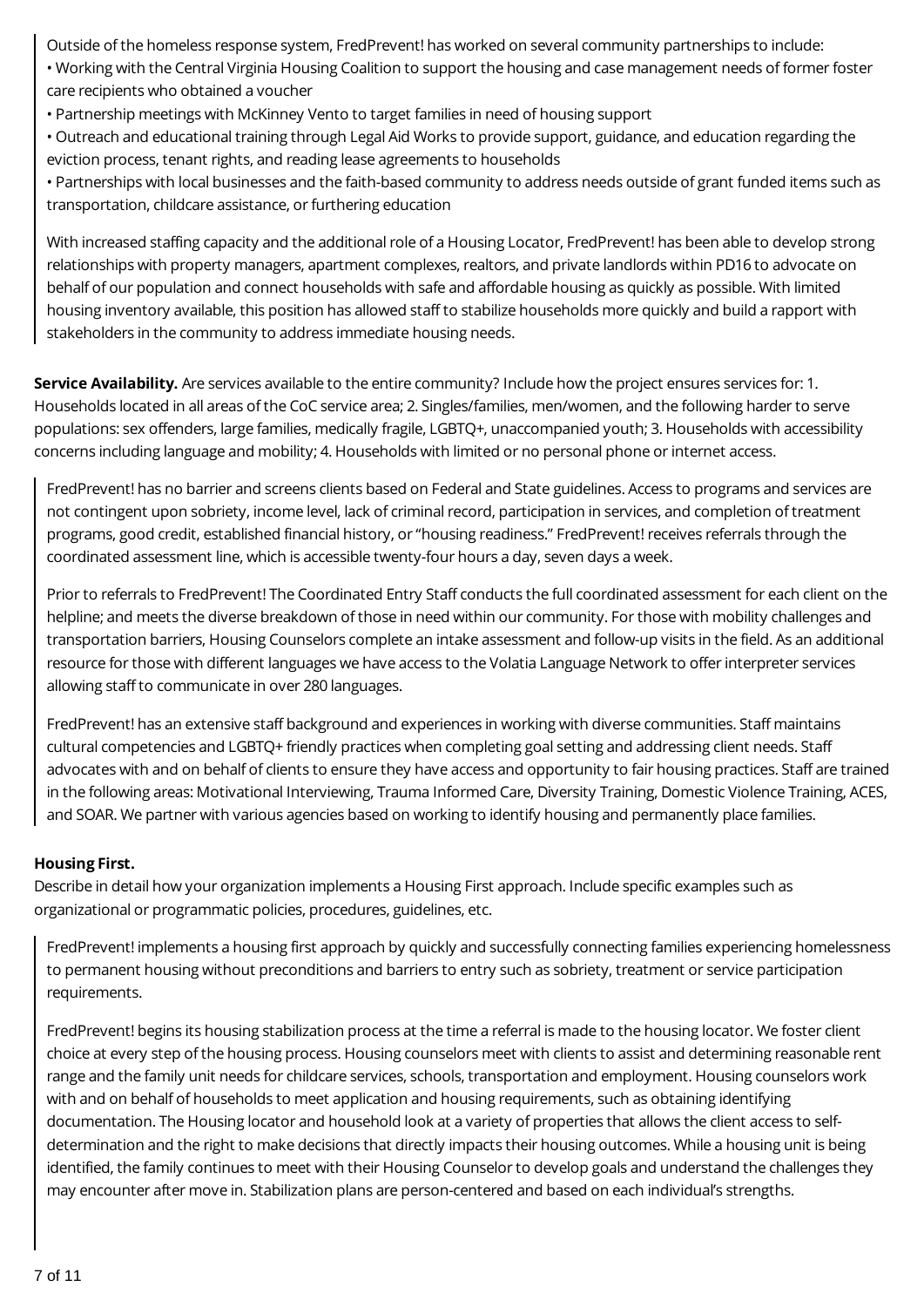Outside of the homeless response system, FredPrevent! has worked on several community partnerships to include:

• Working with the Central Virginia Housing Coalition to support the housing and case management needs of former foster care recipients who obtained a voucher

- Partnership meetings with McKinney Vento to target families in need of housing support
- Outreach and educational training through Legal Aid Works to provide support, guidance, and education regarding the eviction process, tenant rights, and reading lease agreements to households

• Partnerships with local businesses and the faith-based community to address needs outside of grant funded items such as transportation, childcare assistance, or furthering education

With increased staffing capacity and the additional role of a Housing Locator, FredPrevent! has been able to develop strong relationships with property managers, apartment complexes, realtors, and private landlords within PD16 to advocate on behalf of our population and connect households with safe and affordable housing as quickly as possible. With limited housing inventory available, this position has allowed staff to stabilize households more quickly and build a rapport with stakeholders in the community to address immediate housing needs.

**Service Availability.** Are services available to the entire community? Include how the project ensures services for: 1. Households located in all areas of the CoC service area; 2. Singles/families, men/women, and the following harder to serve populations: sex offenders, large families, medically fragile, LGBTQ+, unaccompanied youth; 3. Households with accessibility concerns including language and mobility; 4. Households with limited or no personal phone or internet access.

FredPrevent! has no barrier and screens clients based on Federal and State guidelines. Access to programs and services are not contingent upon sobriety, income level, lack of criminal record, participation in services, and completion of treatment programs, good credit, established financial history, or "housing readiness." FredPrevent! receives referrals through the coordinated assessment line, which is accessible twenty-four hours a day, seven days a week.

Prior to referrals to FredPrevent! The Coordinated Entry Staff conducts the full coordinated assessment for each client on the helpline; and meets the diverse breakdown of those in need within our community. For those with mobility challenges and transportation barriers, Housing Counselors complete an intake assessment and follow-up visits in the field. As an additional resource for those with different languages we have access to the Volatia Language Network to offer interpreter services allowing staff to communicate in over 280 languages.

FredPrevent! has an extensive staff background and experiences in working with diverse communities. Staff maintains cultural competencies and LGBTQ+ friendly practices when completing goal setting and addressing client needs. Staff advocates with and on behalf of clients to ensure they have access and opportunity to fair housing practices. Staff are trained in the following areas: Motivational Interviewing, Trauma Informed Care, Diversity Training, Domestic Violence Training, ACES, and SOAR. We partner with various agencies based on working to identify housing and permanently place families.

## **Housing First.**

Describe in detail how your organization implements a Housing First approach. Include specific examples such as organizational or programmatic policies, procedures, guidelines, etc.

FredPrevent! implements a housing first approach by quickly and successfully connecting families experiencing homelessness to permanent housing without preconditions and barriers to entry such as sobriety, treatment or service participation requirements.

FredPrevent! begins its housing stabilization process at the time a referral is made to the housing locator. We foster client choice at every step of the housing process. Housing counselors meet with clients to assist and determining reasonable rent range and the family unit needs for childcare services, schools, transportation and employment. Housing counselors work with and on behalf of households to meet application and housing requirements, such as obtaining identifying documentation. The Housing locator and household look at a variety of properties that allows the client access to selfdetermination and the right to make decisions that directly impacts their housing outcomes. While a housing unit is being identified, the family continues to meet with their Housing Counselor to develop goals and understand the challenges they may encounter after move in. Stabilization plans are person-centered and based on each individual's strengths.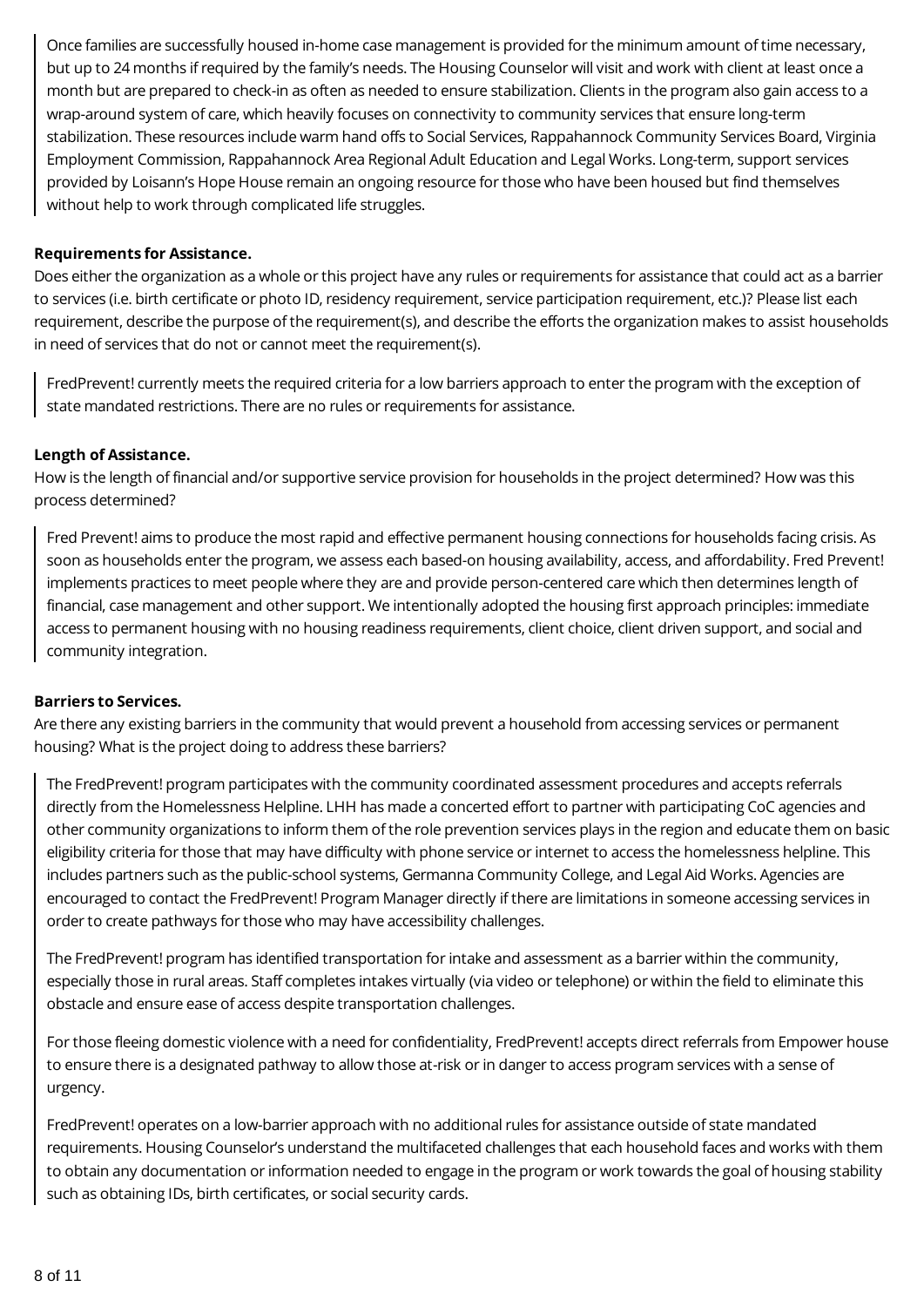Once families are successfully housed in-home case management is provided for the minimum amount of time necessary, but up to 24 months if required by the family's needs. The Housing Counselor will visit and work with client at least once a month but are prepared to check-in as often as needed to ensure stabilization. Clients in the program also gain access to a wrap-around system of care, which heavily focuses on connectivity to community services that ensure long-term stabilization. These resources include warm hand offs to Social Services, Rappahannock Community Services Board, Virginia Employment Commission, Rappahannock Area Regional Adult Education and Legal Works. Long-term, support services provided by Loisann's Hope House remain an ongoing resource for those who have been housed but find themselves without help to work through complicated life struggles.

#### **Requirements for Assistance.**

Does either the organization as a whole or this project have any rules or requirements for assistance that could act as a barrier to services (i.e. birth certificate or photo ID, residency requirement, service participation requirement, etc.)? Please list each requirement, describe the purpose of the requirement(s), and describe the efforts the organization makes to assist households in need of services that do not or cannot meet the requirement(s).

FredPrevent! currently meets the required criteria for a low barriers approach to enter the program with the exception of state mandated restrictions. There are no rules or requirements for assistance.

#### **Length of Assistance.**

How is the length of financial and/or supportive service provision for households in the project determined? How was this process determined?

Fred Prevent! aims to produce the most rapid and effective permanent housing connections for households facing crisis. As soon as households enter the program, we assess each based-on housing availability, access, and affordability. Fred Prevent! implements practices to meet people where they are and provide person-centered care which then determines length of financial, case management and other support. We intentionally adopted the housing first approach principles: immediate access to permanent housing with no housing readiness requirements, client choice, client driven support, and social and community integration.

#### **Barriers to Services.**

Are there any existing barriers in the community that would prevent a household from accessing services or permanent housing? What is the project doing to address these barriers?

The FredPrevent! program participates with the community coordinated assessment procedures and accepts referrals directly from the Homelessness Helpline. LHH has made a concerted effort to partner with participating CoC agencies and other community organizations to inform them of the role prevention services plays in the region and educate them on basic eligibility criteria for those that may have difficulty with phone service or internet to access the homelessness helpline. This includes partners such as the public-school systems, Germanna Community College, and Legal Aid Works. Agencies are encouraged to contact the FredPrevent! Program Manager directly if there are limitations in someone accessing services in order to create pathways for those who may have accessibility challenges.

The FredPrevent! program has identified transportation for intake and assessment as a barrier within the community, especially those in rural areas. Staff completes intakes virtually (via video or telephone) or within the field to eliminate this obstacle and ensure ease of access despite transportation challenges.

For those fleeing domestic violence with a need for confidentiality, FredPrevent! accepts direct referrals from Empower house to ensure there is a designated pathway to allow those at-risk or in danger to access program services with a sense of urgency.

FredPrevent! operates on a low-barrier approach with no additional rules for assistance outside of state mandated requirements. Housing Counselor's understand the multifaceted challenges that each household faces and works with them to obtain any documentation or information needed to engage in the program or work towards the goal of housing stability such as obtaining IDs, birth certificates, or social security cards.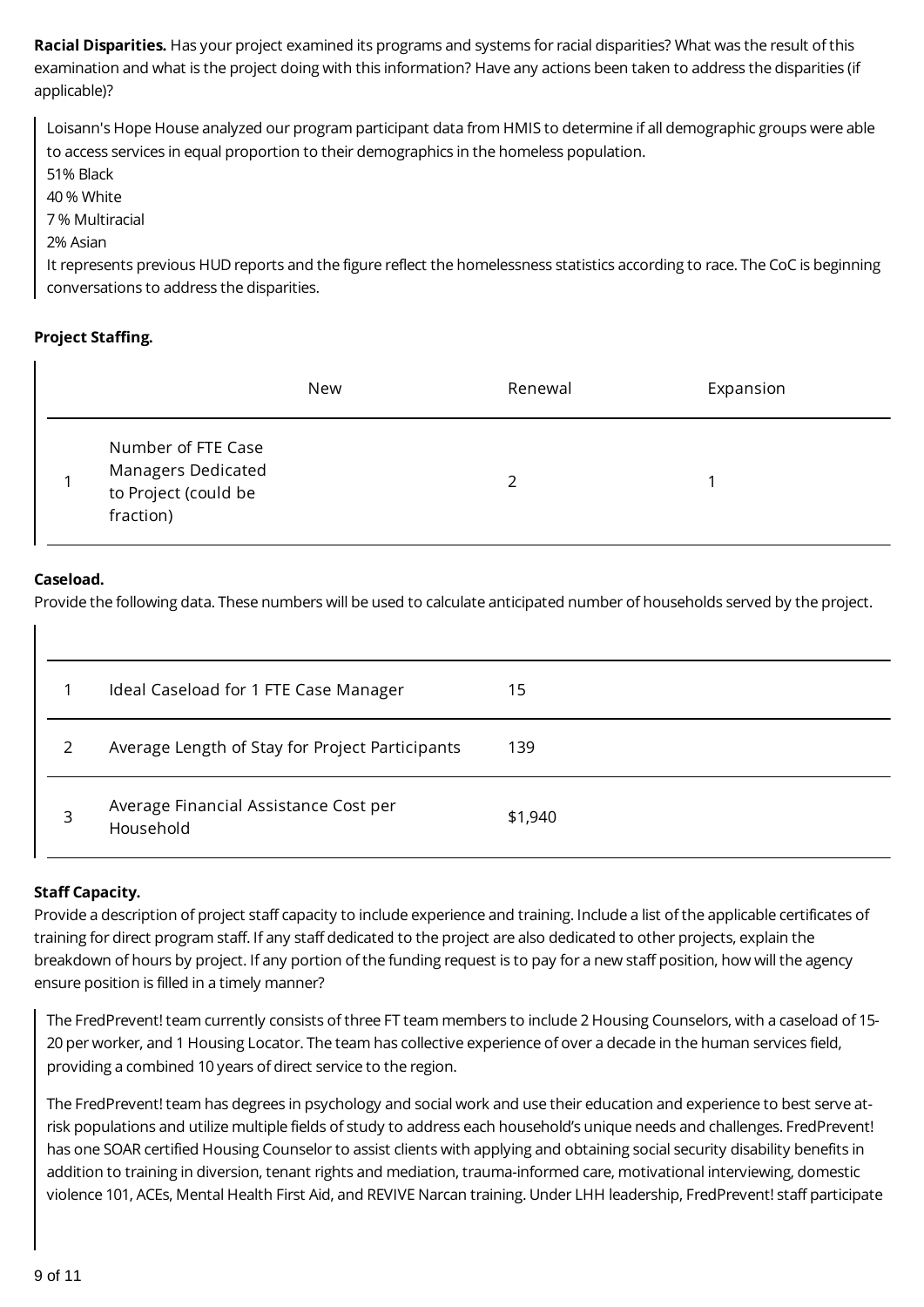**Racial Disparities.** Has your project examined its programs and systems for racial disparities? What was the result of this examination and what is the project doing with this information? Have any actions been taken to address the disparities (if applicable)?

Loisann's Hope House analyzed our program participant data from HMIS to determine if all demographic groups were able to access services in equal proportion to their demographics in the homeless population.

51% Black

40 % White

7 % Multiracial

#### 2% Asian

It represents previous HUD reports and the figure reflect the homelessness statistics according to race. The CoC is beginning conversations to address the disparities.

### **Project Staffing.**

|                                                                               | New | Renewal | Expansion |
|-------------------------------------------------------------------------------|-----|---------|-----------|
| Number of FTE Case<br>Managers Dedicated<br>to Project (could be<br>fraction) |     | っ       |           |

#### **Caseload.**

Provide the following data. These numbers will be used to calculate anticipated number of households served by the project.

|               | Ideal Caseload for 1 FTE Case Manager              | 15      |
|---------------|----------------------------------------------------|---------|
| $\mathcal{L}$ | Average Length of Stay for Project Participants    | 139     |
| 3             | Average Financial Assistance Cost per<br>Household | \$1,940 |

#### **Staff Capacity.**

Provide a description of project staff capacity to include experience and training. Include a list of the applicable certificates of training for direct program staff. If any staff dedicated to the project are also dedicated to other projects, explain the breakdown of hours by project. If any portion of the funding request is to pay for a new staff position, how will the agency ensure position is filled in a timely manner?

The FredPrevent! team currently consists of three FT team members to include 2 Housing Counselors, with a caseload of 15- 20 per worker, and 1 Housing Locator. The team has collective experience of over a decade in the human services field, providing a combined 10 years of direct service to the region.

The FredPrevent! team has degrees in psychology and social work and use their education and experience to best serve atrisk populations and utilize multiple fields of study to address each household's unique needs and challenges. FredPrevent! has one SOAR certified Housing Counselor to assist clients with applying and obtaining social security disability benefits in addition to training in diversion, tenant rights and mediation, trauma-informed care, motivational interviewing, domestic violence 101, ACEs, Mental Health First Aid, and REVIVE Narcan training. Under LHH leadership, FredPrevent! staff participate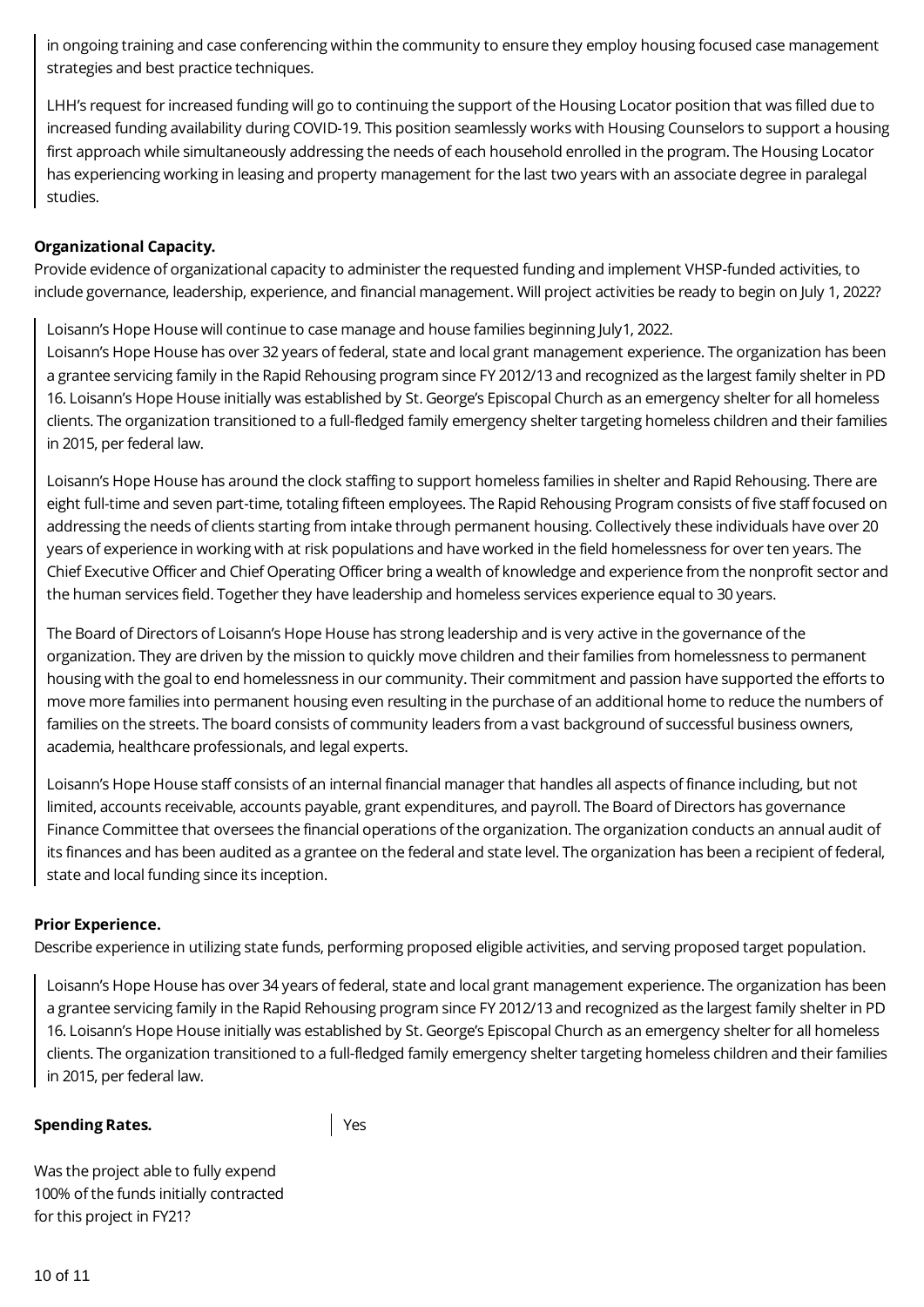in ongoing training and case conferencing within the community to ensure they employ housing focused case management strategies and best practice techniques.

LHH's request for increased funding will go to continuing the support of the Housing Locator position that was filled due to increased funding availability during COVID-19. This position seamlessly works with Housing Counselors to support a housing first approach while simultaneously addressing the needs of each household enrolled in the program. The Housing Locator has experiencing working in leasing and property management for the last two years with an associate degree in paralegal studies.

#### **Organizational Capacity.**

Provide evidence of organizational capacity to administer the requested funding and implement VHSP-funded activities, to include governance, leadership, experience, and financial management. Will project activities be ready to begin on July 1, 2022?

Loisann's Hope House will continue to case manage and house families beginning July1, 2022.

Loisann's Hope House has over 32 years of federal, state and local grant management experience. The organization has been a grantee servicing family in the Rapid Rehousing program since FY 2012/13 and recognized as the largest family shelter in PD 16. Loisann's Hope House initially was established by St. George's Episcopal Church as an emergency shelter for all homeless clients. The organization transitioned to a full-fledged family emergency shelter targeting homeless children and their families in 2015, per federal law.

Loisann's Hope House has around the clock staffing to support homeless families in shelter and Rapid Rehousing. There are eight full-time and seven part-time, totaling fifteen employees. The Rapid Rehousing Program consists of five staff focused on addressing the needs of clients starting from intake through permanent housing. Collectively these individuals have over 20 years of experience in working with at risk populations and have worked in the field homelessness for over ten years. The Chief Executive Officer and Chief Operating Officer bring a wealth of knowledge and experience from the nonprofit sector and the human services field. Together they have leadership and homeless services experience equal to 30 years.

The Board of Directors of Loisann's Hope House has strong leadership and is very active in the governance of the organization. They are driven by the mission to quickly move children and their families from homelessness to permanent housing with the goal to end homelessness in our community. Their commitment and passion have supported the efforts to move more families into permanent housing even resulting in the purchase of an additional home to reduce the numbers of families on the streets. The board consists of community leaders from a vast background of successful business owners, academia, healthcare professionals, and legal experts.

Loisann's Hope House staff consists of an internal financial manager that handles all aspects of finance including, but not limited, accounts receivable, accounts payable, grant expenditures, and payroll. The Board of Directors has governance Finance Committee that oversees the financial operations of the organization. The organization conducts an annual audit of its finances and has been audited as a grantee on the federal and state level. The organization has been a recipient of federal, state and local funding since its inception.

#### **Prior Experience.**

Describe experience in utilizing state funds, performing proposed eligible activities, and serving proposed target population.

Loisann's Hope House has over 34 years of federal, state and local grant management experience. The organization has been a grantee servicing family in the Rapid Rehousing program since FY 2012/13 and recognized as the largest family shelter in PD 16. Loisann's Hope House initially was established by St. George's Episcopal Church as an emergency shelter for all homeless clients. The organization transitioned to a full-fledged family emergency shelter targeting homeless children and their families in 2015, per federal law.

#### **Spending Rates.**

Yes

Was the project able to fully expend 100% of the funds initially contracted for this project in FY21?